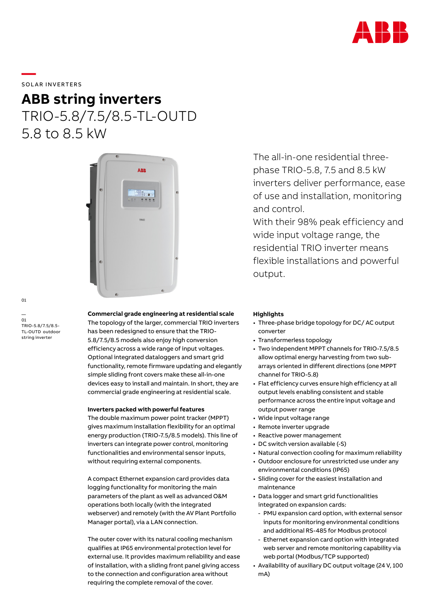

## SOLAR INVERTERS

**—** 

# **ABB string inverters** TRIO-5.8/7.5/8.5-TL-OUTD 5.8 to 8.5 kW



01

— 01 TRIO-5.8/7.5/8.5- TL-OUTD outdoor string inverter

## **Commercial grade engineering at residential scale**

The topology of the larger, commercial TRIO inverters has been redesigned to ensure that the TRIO-5.8/7.5/8.5 models also enjoy high conversion efficiency across a wide range of input voltages. Optional integrated dataloggers and smart grid functionality, remote firmware updating and elegantly simple sliding front covers make these all-in-one devices easy to install and maintain. In short, they are commercial grade engineering at residential scale.

### **Inverters packed with powerful features**

The double maximum power point tracker (MPPT) gives maximum installation flexibility for an optimal energy production (TRIO-7.5/8.5 models). This line of inverters can integrate power control, monitoring functionalities and environmental sensor inputs, without requiring external components.

A compact Ethernet expansion card provides data logging functionality for monitoring the main parameters of the plant as well as advanced O&M operations both locally (with the integrated webserver) and remotely (with the AV Plant Portfolio Manager portal), via a LAN connection.

The outer cover with its natural cooling mechanism qualifies at IP65 environmental protection level for external use. It provides maximum reliability and ease of installation, with a sliding front panel giving access to the connection and configuration area without requiring the complete removal of the cover.

The all-in-one residential threephase TRIO-5.8, 7.5 and 8.5 kW inverters deliver performance, ease of use and installation, monitoring and control.

With their 98% peak efficiency and wide input voltage range, the residential TRIO inverter means flexible installations and powerful output.

### **Highlights**

- Three-phase bridge topology for DC/ AC output converter
- Transformerless topology
- Two independent MPPT channels for TRIO-7.5/8.5 allow optimal energy harvesting from two subarrays oriented in different directions (one MPPT channel for TRIO-5.8)
- Flat efficiency curves ensure high efficiency at all output levels enabling consistent and stable performance across the entire input voltage and output power range
- Wide input voltage range
- Remote inverter upgrade
- Reactive power management
- DC switch version available (-S)
- Natural convection cooling for maximum reliability
- Outdoor enclosure for unrestricted use under any environmental conditions (IP65)
- Sliding cover for the easiest installation and maintenance
- Data logger and smart grid functionalities integrated on expansion cards:
- PMU expansion card option, with external sensor inputs for monitoring environmental conditions and additional RS-485 for Modbus protocol
- Ethernet expansion card option with integrated web server and remote monitoring capability via web portal (Modbus/TCP supported)
- Availability of auxiliary DC output voltage (24 V, 100 mA)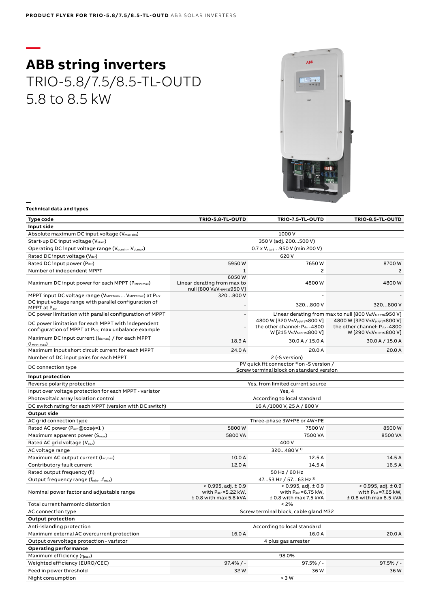# **— ABB string inverters** TRIO-5.8/7.5/8.5-TL-OUTD 5.8 to 8.5 kW



#### **Technical data and types**

**—**

| <b>Type code</b>                                                                                           | TRIO-5.8-TL-OUTD                                                                         | TRIO-7.5-TL-OUTD                                                                                 | TRIO-8.5-TL-OUTD                                                                                 |
|------------------------------------------------------------------------------------------------------------|------------------------------------------------------------------------------------------|--------------------------------------------------------------------------------------------------|--------------------------------------------------------------------------------------------------|
| Input side                                                                                                 |                                                                                          |                                                                                                  |                                                                                                  |
| Absolute maximum DC input voltage (V <sub>max,abs</sub> )                                                  |                                                                                          | 1000 V                                                                                           |                                                                                                  |
| Start-up DC input voltage (V <sub>start</sub> )                                                            |                                                                                          | 350 V (adj. 200500 V)                                                                            |                                                                                                  |
| Operating DC input voltage range (V <sub>dcmin</sub> V <sub>dcmax</sub> )                                  | 0.7 x V <sub>start.</sub> 950 V (min 200 V)                                              |                                                                                                  |                                                                                                  |
| Rated DC input voltage (Vdcr)                                                                              |                                                                                          | 620 V                                                                                            |                                                                                                  |
| Rated DC input power (Pdcr)                                                                                | 5950W                                                                                    | 7650W                                                                                            | 8700W                                                                                            |
| Number of independent MPPT                                                                                 | $\mathbf{1}$                                                                             | $\overline{c}$                                                                                   | 2                                                                                                |
| Maximum DC input power for each MPPT (PMPPTmax)                                                            | 6050W<br>Linear derating from max to<br>null [800 V≤VMPPT≤950 V]                         | 4800W                                                                                            | 4800W                                                                                            |
| MPPT input DC voltage range (V <sub>MPPTmin</sub> V <sub>MPPTmax</sub> ) at P <sub>acr</sub>               | 320800 V                                                                                 |                                                                                                  |                                                                                                  |
| DC input voltage range with parallel configuration of<br>MPPT at Pacr                                      |                                                                                          | 320800 V                                                                                         | 320800 V                                                                                         |
| DC power limitation with parallel configuration of MPPT                                                    | $\blacksquare$                                                                           |                                                                                                  | Linear derating from max to null [800 V≤V <sub>MPPT</sub> ≤950 V]                                |
| DC power limitation for each MPPT with independent<br>configuration of MPPT at Pacr, max unbalance example | $\overline{a}$                                                                           | 4800 W [320 V≤VMPPT≤800 V]<br>the other channel: Pdcr-4800<br>W [215 V≤V <sub>MPPT</sub> ≤800 V] | 4800 W [320 V≤VMPPT≤800 V]<br>the other channel: Pdcr-4800<br>W [290 V≤V <sub>MPPT</sub> ≤800 V] |
| Maximum DC input current (Idcmax) / for each MPPT<br>$(\mathsf{Im}P_{\text{Imax}})$                        | 18.9A                                                                                    | 30.0 A / 15.0 A                                                                                  | 30.0 A / 15.0 A                                                                                  |
| Maximum input short circuit current for each MPPT                                                          | 24.0 A                                                                                   | 20.0 A                                                                                           | 20.0 A                                                                                           |
| Number of DC input pairs for each MPPT                                                                     | 2 (-S version)                                                                           |                                                                                                  |                                                                                                  |
| DC connection type                                                                                         | PV quick fit connector 3) on -S version /<br>Screw terminal block on standard version    |                                                                                                  |                                                                                                  |
| Input protection                                                                                           |                                                                                          |                                                                                                  |                                                                                                  |
| Reverse polarity protection                                                                                |                                                                                          | Yes, from limited current source                                                                 |                                                                                                  |
| Input over voltage protection for each MPPT - varistor                                                     | Yes, 4                                                                                   |                                                                                                  |                                                                                                  |
| Photovoltaic array isolation control                                                                       | According to local standard                                                              |                                                                                                  |                                                                                                  |
| DC switch rating for each MPPT (version with DC switch)                                                    | 16 A /1000 V, 25 A / 800 V                                                               |                                                                                                  |                                                                                                  |
| <b>Output side</b>                                                                                         |                                                                                          |                                                                                                  |                                                                                                  |
| AC grid connection type                                                                                    |                                                                                          | Three-phase 3W+PE or 4W+PE                                                                       |                                                                                                  |
| Rated AC power (Pacr@coso=1)                                                                               | 5800W                                                                                    | 7500W                                                                                            | 8500W                                                                                            |
| Maximum apparent power (S <sub>max</sub> )                                                                 | 5800 VA                                                                                  | 7500 VA                                                                                          | 8500 VA                                                                                          |
| Rated AC grid voltage (V <sub>ac,r</sub> )                                                                 | 400 V                                                                                    |                                                                                                  |                                                                                                  |
| AC voltage range                                                                                           |                                                                                          | 320480 V <sup>1)</sup>                                                                           |                                                                                                  |
| Maximum AC output current (Iac, max)                                                                       | 10.0 A                                                                                   | 12.5 A                                                                                           | 14.5 A                                                                                           |
| Contributory fault current                                                                                 | 12.0 A                                                                                   | 14.5 A                                                                                           | 16.5 A                                                                                           |
| Rated output frequency (fr)                                                                                | 50 Hz / 60 Hz                                                                            |                                                                                                  |                                                                                                  |
| Output frequency range (fminfmax)                                                                          | 4753 Hz / 5763 Hz <sup>2)</sup>                                                          |                                                                                                  |                                                                                                  |
| Nominal power factor and adjustable range                                                                  | $> 0.995$ , adj. $\pm 0.9$<br>with $P_{\text{acr}} = 5.22$ kW,<br>± 0.8 with max 5.8 kVA | $> 0.995$ , adj. $\pm 0.9$<br>with $P_{\text{acr}} = 6.75$ kW,<br>± 0.8 with max 7.5 kVA         | $> 0.995$ , adj. $\pm 0.9$<br>with $P_{\text{acr}} = 7.65$ kW,<br>± 0.8 with max 8.5 kVA         |
| Total current harmonic distortion                                                                          |                                                                                          | < 2%                                                                                             |                                                                                                  |
| AC connection type                                                                                         | Screw terminal block, cable gland M32                                                    |                                                                                                  |                                                                                                  |
| <b>Output protection</b>                                                                                   |                                                                                          |                                                                                                  |                                                                                                  |
| Anti-islanding protection                                                                                  |                                                                                          | According to local standard                                                                      |                                                                                                  |
| Maximum external AC overcurrent protection                                                                 | 16.0 A                                                                                   | 16.0 A                                                                                           | 20.0 A                                                                                           |
| Output overvoltage protection - varistor                                                                   |                                                                                          | 4 plus gas arrester                                                                              |                                                                                                  |
| <b>Operating performance</b>                                                                               |                                                                                          |                                                                                                  |                                                                                                  |
| Maximum efficiency (nmax)                                                                                  |                                                                                          | 98.0%                                                                                            |                                                                                                  |
| Weighted efficiency (EURO/CEC)                                                                             | $97.4\%$ / -                                                                             | $97.5% / -$                                                                                      | $97.5% / -$                                                                                      |
| Feed in power threshold                                                                                    | 32W                                                                                      | 36W                                                                                              | 36W                                                                                              |
| Night consumption                                                                                          |                                                                                          | $<$ 3 W                                                                                          |                                                                                                  |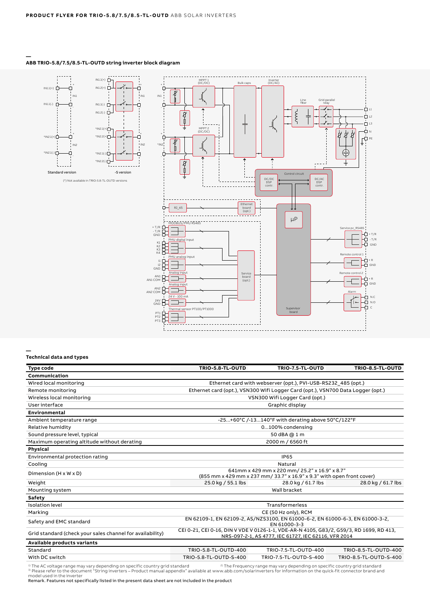

#### **— ABB TRIO-5.8/7.5/8.5-TL-OUTD string inverter block diagram**

#### **— Technical data and types**

| <b>Type code</b>                                          | TRIO-5.8-TL-OUTD                                                                                                                                | TRIO-7.5-TL-OUTD       | TRIO-8.5-TL-OUTD       |
|-----------------------------------------------------------|-------------------------------------------------------------------------------------------------------------------------------------------------|------------------------|------------------------|
| Communication                                             |                                                                                                                                                 |                        |                        |
| Wired local monitoring                                    | Ethernet card with webserver (opt.), PVI-USB-RS232 485 (opt.)                                                                                   |                        |                        |
| Remote monitoring                                         | Ethernet card (opt.), VSN300 Wifi Logger Card (opt.), VSN700 Data Logger (opt.)                                                                 |                        |                        |
| Wireless local monitoring                                 | VSN300 Wifi Logger Card (opt.)                                                                                                                  |                        |                        |
| User interface                                            | Graphic display                                                                                                                                 |                        |                        |
| Environmental                                             |                                                                                                                                                 |                        |                        |
| Ambient temperature range                                 | -25+60°C /-13140°F with derating above 50°C/122°F                                                                                               |                        |                        |
| Relative humidity                                         | 0100% condensing                                                                                                                                |                        |                        |
| Sound pressure level, typical                             | 50 dBA @ 1 m                                                                                                                                    |                        |                        |
| Maximum operating altitude without derating               | 2000 m / 6560 ft                                                                                                                                |                        |                        |
| Physical                                                  |                                                                                                                                                 |                        |                        |
| Environmental protection rating                           | <b>IP65</b>                                                                                                                                     |                        |                        |
| Cooling                                                   | Natural                                                                                                                                         |                        |                        |
| Dimension $(H \times W \times D)$                         | 641mm x 429 mm x 220 mm/ 25.2" x 16.9" x 8.7"<br>(855 mm x 429 mm x 237 mm/ 33.7" x 16.9" x 9.3" with open front cover)                         |                        |                        |
| Weight                                                    | 25.0 kg / 55.1 lbs                                                                                                                              | 28.0 kg / 61.7 lbs     | 28.0 kg / 61.7 lbs     |
| Mounting system                                           | Wall bracket                                                                                                                                    |                        |                        |
| Safety                                                    |                                                                                                                                                 |                        |                        |
| <b>Isolation level</b>                                    | Transformerless                                                                                                                                 |                        |                        |
| Marking                                                   | CE (50 Hz only), RCM                                                                                                                            |                        |                        |
| Safety and EMC standard                                   | EN 62109-1, EN 62109-2, AS/NZS3100, EN 61000-6-2, EN 61000-6-3, EN 61000-3-2,<br>EN 61000-3-3                                                   |                        |                        |
| Grid standard (check your sales channel for availability) | CEI 0-21, CEI 0-16, DIN V VDE V 0126-1-1, VDE-AR-N 4105, G83/2, G59/3, RD 1699, RD 413,<br>NRS-097-2-1, AS 4777, IEC 61727, IEC 62116, VFR 2014 |                        |                        |
| Available products variants                               |                                                                                                                                                 |                        |                        |
| Standard                                                  | TRIO-5.8-TL-OUTD-400                                                                                                                            | TRIO-7.5-TL-OUTD-400   | TRIO-8.5-TL-OUTD-400   |
| With DC switch                                            | TRIO-5.8-TL-OUTD-S-400                                                                                                                          | TRIO-7.5-TL-OUTD-S-400 | TRIO-8.5-TL-OUTD-S-400 |

<sup>1)</sup> The AC voltage range may vary depending on specific country grid standard <sup>2</sup><br><sup>3)</sup> Please refer to the document "String inverters – Product manual appendix" available at www.abb.com/solarinverters for information on t